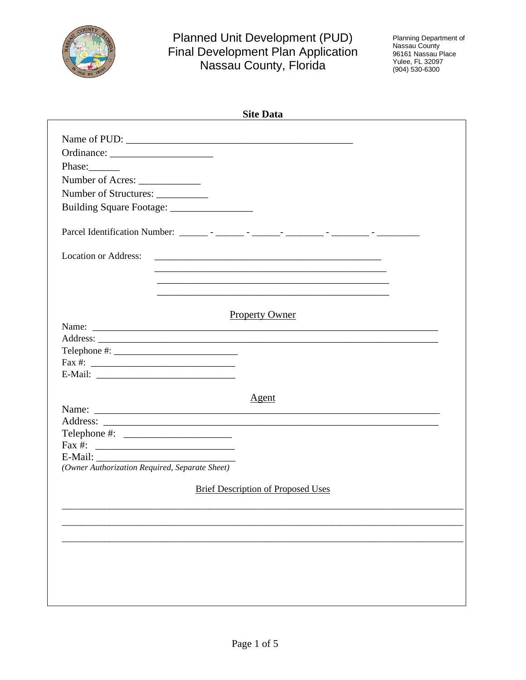

# Planned Unit Development (PUD)<br>Final Development Plan Application<br>Nassau County, Florida

Planning Department of<br>Nassau County<br>96161 Nassau Place Yulee, FL 32097<br>(904) 530-6300

| <b>Site Data</b>                                            |
|-------------------------------------------------------------|
|                                                             |
|                                                             |
|                                                             |
| Phase:                                                      |
|                                                             |
| Number of Structures: ___________                           |
| Building Square Footage:                                    |
|                                                             |
| <b>Location or Address:</b>                                 |
| <u> 1989 - Johann Stoff, amerikansk politiker (* 1908)</u>  |
| <u> 1989 - Johann Stoff, amerikansk politiker (* 1908)</u>  |
| <u> 1989 - Johann Stoff, amerikansk politiker (d. 1989)</u> |
| <b>Property Owner</b>                                       |
|                                                             |
|                                                             |
|                                                             |
| $\text{Fax } #:$                                            |
|                                                             |
|                                                             |
| <u>Agent</u>                                                |
|                                                             |
|                                                             |
|                                                             |
|                                                             |
| (Owner Authorization Required, Separate Sheet)              |
| <b>Brief Description of Proposed Uses</b>                   |
|                                                             |
|                                                             |
|                                                             |
|                                                             |
|                                                             |
|                                                             |
|                                                             |
|                                                             |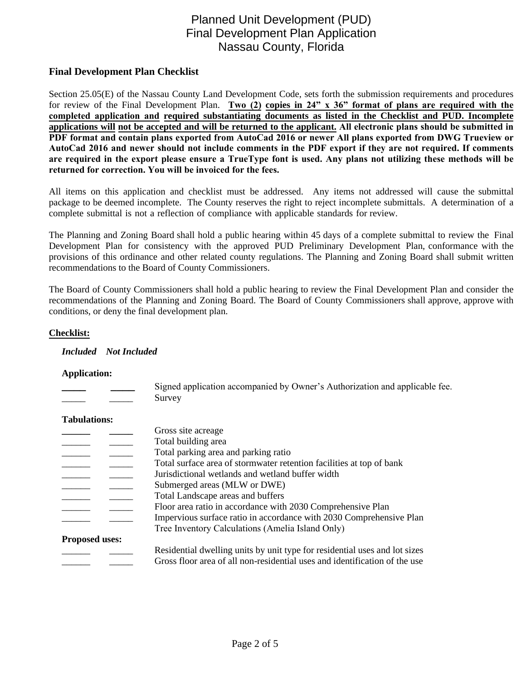# Planned Unit Development (PUD) Final Development Plan Application Nassau County, Florida

# **Final Development Plan Checklist**

Section 25.05(E) of the Nassau County Land Development Code, sets forth the submission requirements and procedures for review of the Final Development Plan. **Two (2) copies in 24" x 36" format of plans are required with the completed application and required substantiating documents as listed in the Checklist and PUD. Incomplete applications will not be accepted and will be returned to the applicant. All electronic plans should be submitted in PDF format and contain plans exported from AutoCad 2016 or newer All plans exported from DWG Trueview or AutoCad 2016 and newer should not include comments in the PDF export if they are not required. If comments are required in the export please ensure a TrueType font is used. Any plans not utilizing these methods will be returned for correction. You will be invoiced for the fees.** 

All items on this application and checklist must be addressed. Any items not addressed will cause the submittal package to be deemed incomplete. The County reserves the right to reject incomplete submittals. A determination of a complete submittal is not a reflection of compliance with applicable standards for review.

The Planning and Zoning Board shall hold a public hearing within 45 days of a complete submittal to review the Final Development Plan for consistency with the approved PUD Preliminary Development Plan, conformance with the provisions of this ordinance and other related county regulations. The Planning and Zoning Board shall submit written recommendations to the Board of County Commissioners.

The Board of County Commissioners shall hold a public hearing to review the Final Development Plan and consider the recommendations of the Planning and Zoning Board. The Board of County Commissioners shall approve, approve with conditions, or deny the final development plan.

# **Checklist:**

### *Included Not Included*

### **Application:**

|  | Signed application accompanied by Owner's Authorization and applicable fee. |
|--|-----------------------------------------------------------------------------|
|  | Survey                                                                      |

### **Tabulations:**

|                       | Gross site acreage                                                         |
|-----------------------|----------------------------------------------------------------------------|
|                       | Total building area                                                        |
|                       | Total parking area and parking ratio                                       |
|                       | Total surface area of stormwater retention facilities at top of bank       |
|                       | Jurisdictional wetlands and wetland buffer width                           |
|                       | Submerged areas (MLW or DWE)                                               |
|                       | Total Landscape areas and buffers                                          |
|                       | Floor area ratio in accordance with 2030 Comprehensive Plan                |
|                       | Impervious surface ratio in accordance with 2030 Comprehensive Plan        |
|                       | Tree Inventory Calculations (Amelia Island Only)                           |
| <b>Proposed uses:</b> |                                                                            |
|                       | Residential dwelling units by unit type for residential uses and lot sizes |
|                       | Gross floor area of all non-residential uses and identification of the use |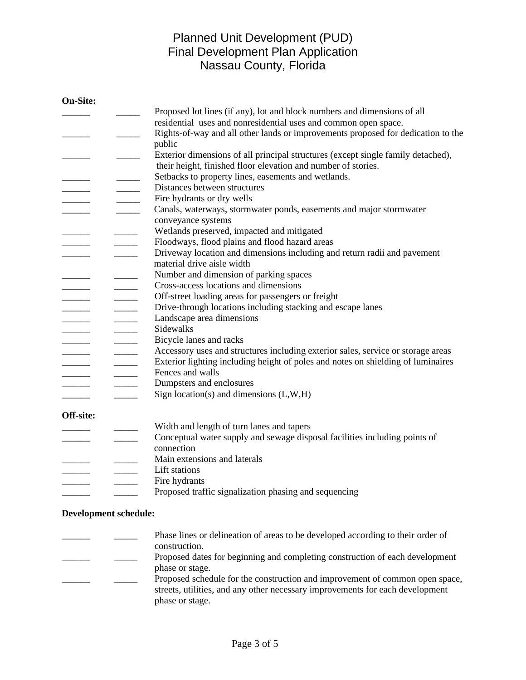# Planned Unit Development (PUD) Final Development Plan Application Nassau County, Florida

| <b>On-Site:</b>                                                                                                                                                                                                                                                                                                                                                                                                                                                                      |                                                                                                                                                                                                                                                                                                                                                                                                                                                                                                                                                                |
|--------------------------------------------------------------------------------------------------------------------------------------------------------------------------------------------------------------------------------------------------------------------------------------------------------------------------------------------------------------------------------------------------------------------------------------------------------------------------------------|----------------------------------------------------------------------------------------------------------------------------------------------------------------------------------------------------------------------------------------------------------------------------------------------------------------------------------------------------------------------------------------------------------------------------------------------------------------------------------------------------------------------------------------------------------------|
|                                                                                                                                                                                                                                                                                                                                                                                                                                                                                      | Proposed lot lines (if any), lot and block numbers and dimensions of all                                                                                                                                                                                                                                                                                                                                                                                                                                                                                       |
|                                                                                                                                                                                                                                                                                                                                                                                                                                                                                      | residential uses and nonresidential uses and common open space.                                                                                                                                                                                                                                                                                                                                                                                                                                                                                                |
|                                                                                                                                                                                                                                                                                                                                                                                                                                                                                      | Rights-of-way and all other lands or improvements proposed for dedication to the                                                                                                                                                                                                                                                                                                                                                                                                                                                                               |
|                                                                                                                                                                                                                                                                                                                                                                                                                                                                                      | public                                                                                                                                                                                                                                                                                                                                                                                                                                                                                                                                                         |
|                                                                                                                                                                                                                                                                                                                                                                                                                                                                                      | Exterior dimensions of all principal structures (except single family detached),                                                                                                                                                                                                                                                                                                                                                                                                                                                                               |
|                                                                                                                                                                                                                                                                                                                                                                                                                                                                                      | their height, finished floor elevation and number of stories.                                                                                                                                                                                                                                                                                                                                                                                                                                                                                                  |
| $\frac{1}{2}$                                                                                                                                                                                                                                                                                                                                                                                                                                                                        | Setbacks to property lines, easements and wetlands.<br>$\overline{\phantom{a}}$                                                                                                                                                                                                                                                                                                                                                                                                                                                                                |
|                                                                                                                                                                                                                                                                                                                                                                                                                                                                                      | Distances between structures                                                                                                                                                                                                                                                                                                                                                                                                                                                                                                                                   |
|                                                                                                                                                                                                                                                                                                                                                                                                                                                                                      | Fire hydrants or dry wells<br>$\mathbb{R}^n$                                                                                                                                                                                                                                                                                                                                                                                                                                                                                                                   |
|                                                                                                                                                                                                                                                                                                                                                                                                                                                                                      | Canals, waterways, stormwater ponds, easements and major stormwater<br>$\overline{\phantom{a}}$                                                                                                                                                                                                                                                                                                                                                                                                                                                                |
|                                                                                                                                                                                                                                                                                                                                                                                                                                                                                      | conveyance systems                                                                                                                                                                                                                                                                                                                                                                                                                                                                                                                                             |
|                                                                                                                                                                                                                                                                                                                                                                                                                                                                                      | Wetlands preserved, impacted and mitigated<br>$\frac{1}{1}$                                                                                                                                                                                                                                                                                                                                                                                                                                                                                                    |
|                                                                                                                                                                                                                                                                                                                                                                                                                                                                                      | Floodways, flood plains and flood hazard areas<br>$\overline{\phantom{a}}$                                                                                                                                                                                                                                                                                                                                                                                                                                                                                     |
|                                                                                                                                                                                                                                                                                                                                                                                                                                                                                      | Driveway location and dimensions including and return radii and pavement<br>$\overline{\phantom{a}}$                                                                                                                                                                                                                                                                                                                                                                                                                                                           |
|                                                                                                                                                                                                                                                                                                                                                                                                                                                                                      | material drive aisle width                                                                                                                                                                                                                                                                                                                                                                                                                                                                                                                                     |
|                                                                                                                                                                                                                                                                                                                                                                                                                                                                                      | Number and dimension of parking spaces                                                                                                                                                                                                                                                                                                                                                                                                                                                                                                                         |
|                                                                                                                                                                                                                                                                                                                                                                                                                                                                                      | Cross-access locations and dimensions<br>$\overline{\phantom{a}}$                                                                                                                                                                                                                                                                                                                                                                                                                                                                                              |
|                                                                                                                                                                                                                                                                                                                                                                                                                                                                                      | Off-street loading areas for passengers or freight                                                                                                                                                                                                                                                                                                                                                                                                                                                                                                             |
|                                                                                                                                                                                                                                                                                                                                                                                                                                                                                      | Drive-through locations including stacking and escape lanes<br>$\frac{1}{1}$                                                                                                                                                                                                                                                                                                                                                                                                                                                                                   |
|                                                                                                                                                                                                                                                                                                                                                                                                                                                                                      | Landscape area dimensions<br>$\frac{1}{2}$                                                                                                                                                                                                                                                                                                                                                                                                                                                                                                                     |
|                                                                                                                                                                                                                                                                                                                                                                                                                                                                                      | Sidewalks<br>$\frac{1}{2}$                                                                                                                                                                                                                                                                                                                                                                                                                                                                                                                                     |
|                                                                                                                                                                                                                                                                                                                                                                                                                                                                                      | Bicycle lanes and racks<br>$\frac{1}{1}$                                                                                                                                                                                                                                                                                                                                                                                                                                                                                                                       |
| $\begin{tabular}{cccccc} \multicolumn{2}{c }{\textbf{1} & \textbf{2} & \textbf{3} & \textbf{4} & \textbf{5} & \textbf{5} & \textbf{6} & \textbf{6} & \textbf{7} & \textbf{8} & \textbf{8} & \textbf{9} & \textbf{10} & \textbf{10} & \textbf{10} & \textbf{10} & \textbf{10} & \textbf{10} & \textbf{10} & \textbf{10} & \textbf{10} & \textbf{10} & \textbf{10} & \textbf{10} & \textbf{10} & \textbf{10} & \textbf{1$                                                              | Accessory uses and structures including exterior sales, service or storage areas<br>$\frac{1}{2} \left( \frac{1}{2} \right) \left( \frac{1}{2} \right) \left( \frac{1}{2} \right) \left( \frac{1}{2} \right) \left( \frac{1}{2} \right) \left( \frac{1}{2} \right) \left( \frac{1}{2} \right) \left( \frac{1}{2} \right) \left( \frac{1}{2} \right) \left( \frac{1}{2} \right) \left( \frac{1}{2} \right) \left( \frac{1}{2} \right) \left( \frac{1}{2} \right) \left( \frac{1}{2} \right) \left( \frac{1}{2} \right) \left( \frac{1}{2} \right) \left( \frac$ |
|                                                                                                                                                                                                                                                                                                                                                                                                                                                                                      | Exterior lighting including height of poles and notes on shielding of luminaires<br>$\frac{1}{2} \left( \frac{1}{2} \right) \left( \frac{1}{2} \right) \left( \frac{1}{2} \right) \left( \frac{1}{2} \right) \left( \frac{1}{2} \right) \left( \frac{1}{2} \right) \left( \frac{1}{2} \right) \left( \frac{1}{2} \right) \left( \frac{1}{2} \right) \left( \frac{1}{2} \right) \left( \frac{1}{2} \right) \left( \frac{1}{2} \right) \left( \frac{1}{2} \right) \left( \frac{1}{2} \right) \left( \frac{1}{2} \right) \left( \frac{1}{2} \right) \left( \frac$ |
| $\begin{tabular}{cccccc} \multicolumn{2}{c}{} & \multicolumn{2}{c}{} & \multicolumn{2}{c}{} & \multicolumn{2}{c}{} & \multicolumn{2}{c}{} & \multicolumn{2}{c}{} & \multicolumn{2}{c}{} & \multicolumn{2}{c}{} & \multicolumn{2}{c}{} & \multicolumn{2}{c}{} & \multicolumn{2}{c}{} & \multicolumn{2}{c}{} & \multicolumn{2}{c}{} & \multicolumn{2}{c}{} & \multicolumn{2}{c}{} & \multicolumn{2}{c}{} & \multicolumn{2}{c}{} & \multicolumn{2}{c}{} & \multicolumn{2}{c}{} & \mult$ | Fences and walls<br>$\frac{1}{2}$                                                                                                                                                                                                                                                                                                                                                                                                                                                                                                                              |
| $\overline{\phantom{a}}$                                                                                                                                                                                                                                                                                                                                                                                                                                                             | Dumpsters and enclosures<br>$\overline{\phantom{a}}$                                                                                                                                                                                                                                                                                                                                                                                                                                                                                                           |
|                                                                                                                                                                                                                                                                                                                                                                                                                                                                                      | Sign location(s) and dimensions $(L, W, H)$                                                                                                                                                                                                                                                                                                                                                                                                                                                                                                                    |
|                                                                                                                                                                                                                                                                                                                                                                                                                                                                                      |                                                                                                                                                                                                                                                                                                                                                                                                                                                                                                                                                                |
| Off-site:                                                                                                                                                                                                                                                                                                                                                                                                                                                                            |                                                                                                                                                                                                                                                                                                                                                                                                                                                                                                                                                                |
|                                                                                                                                                                                                                                                                                                                                                                                                                                                                                      | Width and length of turn lanes and tapers                                                                                                                                                                                                                                                                                                                                                                                                                                                                                                                      |
|                                                                                                                                                                                                                                                                                                                                                                                                                                                                                      | Conceptual water supply and sewage disposal facilities including points of                                                                                                                                                                                                                                                                                                                                                                                                                                                                                     |
|                                                                                                                                                                                                                                                                                                                                                                                                                                                                                      | connection                                                                                                                                                                                                                                                                                                                                                                                                                                                                                                                                                     |
|                                                                                                                                                                                                                                                                                                                                                                                                                                                                                      | Main extensions and laterals                                                                                                                                                                                                                                                                                                                                                                                                                                                                                                                                   |
|                                                                                                                                                                                                                                                                                                                                                                                                                                                                                      | Lift stations                                                                                                                                                                                                                                                                                                                                                                                                                                                                                                                                                  |
|                                                                                                                                                                                                                                                                                                                                                                                                                                                                                      | Fire hydrants<br>$\frac{1}{1}$                                                                                                                                                                                                                                                                                                                                                                                                                                                                                                                                 |
|                                                                                                                                                                                                                                                                                                                                                                                                                                                                                      | Proposed traffic signalization phasing and sequencing                                                                                                                                                                                                                                                                                                                                                                                                                                                                                                          |
|                                                                                                                                                                                                                                                                                                                                                                                                                                                                                      |                                                                                                                                                                                                                                                                                                                                                                                                                                                                                                                                                                |
| <b>Development schedule:</b>                                                                                                                                                                                                                                                                                                                                                                                                                                                         |                                                                                                                                                                                                                                                                                                                                                                                                                                                                                                                                                                |

Phase lines or delineation of areas to be developed according to their order of construction. \_\_\_\_\_\_ \_\_\_\_\_ Proposed dates for beginning and completing construction of each development phase or stage. <sup>1</sup> <sup>1</sup> <sup>1</sup> Proposed schedule for the construction and improvement of common open space, streets, utilities, and any other necessary improvements for each development phase or stage.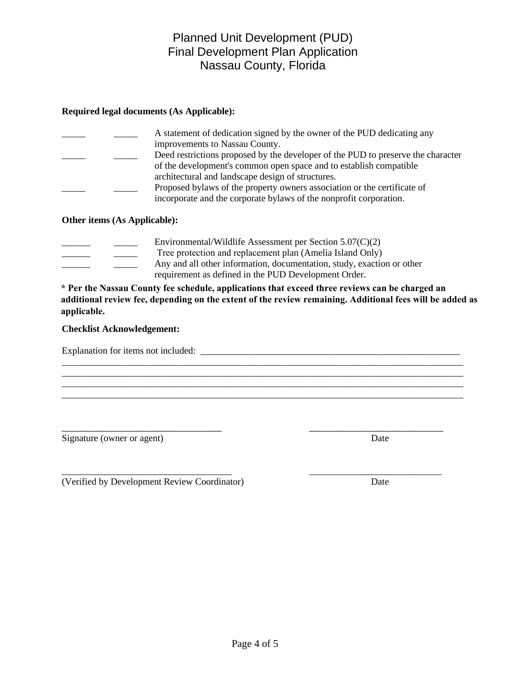# Final Development Plan Application Nassau County, Florida

Planned Unit Development (PUD)

# **Required legal documents (As Applicable):**

|  | A statement of dedication signed by the owner of the PUD dedicating any          |
|--|----------------------------------------------------------------------------------|
|  | improvements to Nassau County.                                                   |
|  | Deed restrictions proposed by the developer of the PUD to preserve the character |
|  | of the development's common open space and to establish compatible               |
|  | architectural and landscape design of structures.                                |
|  | Proposed bylaws of the property owners association or the certificate of         |
|  | incorporate and the corporate bylaws of the nonprofit corporation.               |

# **Other items (As Applicable):**

|  | Environmental/Wildlife Assessment per Section $5.07(C)(2)$             |
|--|------------------------------------------------------------------------|
|  | Tree protection and replacement plan (Amelia Island Only)              |
|  | Any and all other information, documentation, study, exaction or other |
|  | requirement as defined in the PUD Development Order.                   |

**\* Per the Nassau County fee schedule, applications that exceed three reviews can be charged an additional review fee, depending on the extent of the review remaining. Additional fees will be added as applicable.**

\_\_\_\_\_\_\_\_\_\_\_\_\_\_\_\_\_\_\_\_\_\_\_\_\_\_\_\_\_\_\_\_\_\_\_\_\_\_\_\_\_\_\_\_\_\_\_\_\_\_\_\_\_\_\_\_\_\_\_\_\_\_\_\_\_\_\_\_\_\_\_\_\_\_\_\_\_\_\_\_\_\_\_\_\_

\_\_\_\_\_\_\_\_\_\_\_\_\_\_\_\_\_\_\_\_\_\_\_\_\_\_\_\_\_\_\_\_\_\_\_\_\_\_\_\_\_\_\_\_\_\_\_\_\_\_\_\_\_\_\_\_\_\_\_\_\_\_\_\_\_\_\_\_\_\_\_\_\_\_\_\_\_\_\_\_\_\_\_\_\_

\_\_\_\_\_\_\_\_\_\_\_\_\_\_\_\_\_\_\_\_\_\_\_\_\_\_\_\_\_\_\_ \_\_\_\_\_\_\_\_\_\_\_\_\_\_\_\_\_\_\_\_\_\_\_\_\_\_

\_\_\_\_\_\_\_\_\_\_\_\_\_\_\_\_\_\_\_\_\_\_\_\_\_\_\_\_\_\_\_\_\_\_\_\_ \_\_\_\_\_\_\_\_\_\_\_\_\_\_\_\_\_\_\_\_\_\_\_\_\_\_\_\_

## **Checklist Acknowledgement:**

Explanation for items not included:

Signature (owner or agent) Date

\_\_\_\_\_\_\_\_\_\_\_\_\_\_\_\_\_\_\_\_\_\_\_\_\_\_\_\_\_\_\_\_\_\_\_\_\_\_\_\_\_\_\_\_\_\_\_\_\_\_\_\_\_\_\_\_\_\_\_\_\_\_\_\_\_\_\_\_\_\_\_\_\_\_\_\_\_\_\_\_\_\_\_\_\_

(Verified by Development Review Coordinator) Date